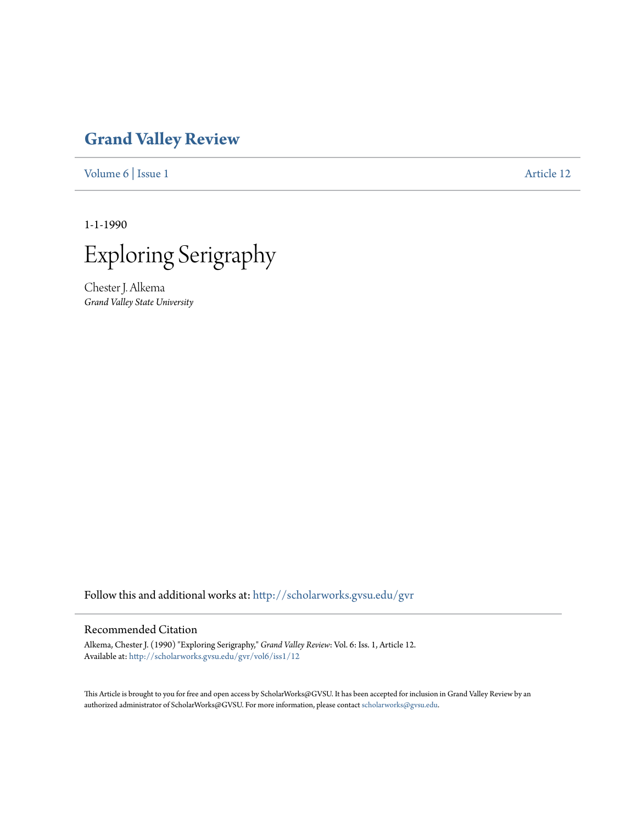## **[Grand Valley Review](http://scholarworks.gvsu.edu/gvr?utm_source=scholarworks.gvsu.edu%2Fgvr%2Fvol6%2Fiss1%2F12&utm_medium=PDF&utm_campaign=PDFCoverPages)**

[Volume 6](http://scholarworks.gvsu.edu/gvr/vol6?utm_source=scholarworks.gvsu.edu%2Fgvr%2Fvol6%2Fiss1%2F12&utm_medium=PDF&utm_campaign=PDFCoverPages) | [Issue 1](http://scholarworks.gvsu.edu/gvr/vol6/iss1?utm_source=scholarworks.gvsu.edu%2Fgvr%2Fvol6%2Fiss1%2F12&utm_medium=PDF&utm_campaign=PDFCoverPages) [Article 12](http://scholarworks.gvsu.edu/gvr/vol6/iss1/12?utm_source=scholarworks.gvsu.edu%2Fgvr%2Fvol6%2Fiss1%2F12&utm_medium=PDF&utm_campaign=PDFCoverPages)

1-1-1990



Chester J. Alkema *Grand Valley State University*

Follow this and additional works at: [http://scholarworks.gvsu.edu/gvr](http://scholarworks.gvsu.edu/gvr?utm_source=scholarworks.gvsu.edu%2Fgvr%2Fvol6%2Fiss1%2F12&utm_medium=PDF&utm_campaign=PDFCoverPages)

### Recommended Citation

Alkema, Chester J. (1990) "Exploring Serigraphy," *Grand Valley Review*: Vol. 6: Iss. 1, Article 12. Available at: [http://scholarworks.gvsu.edu/gvr/vol6/iss1/12](http://scholarworks.gvsu.edu/gvr/vol6/iss1/12?utm_source=scholarworks.gvsu.edu%2Fgvr%2Fvol6%2Fiss1%2F12&utm_medium=PDF&utm_campaign=PDFCoverPages)

This Article is brought to you for free and open access by ScholarWorks@GVSU. It has been accepted for inclusion in Grand Valley Review by an authorized administrator of ScholarWorks@GVSU. For more information, please contact [scholarworks@gvsu.edu.](mailto:scholarworks@gvsu.edu)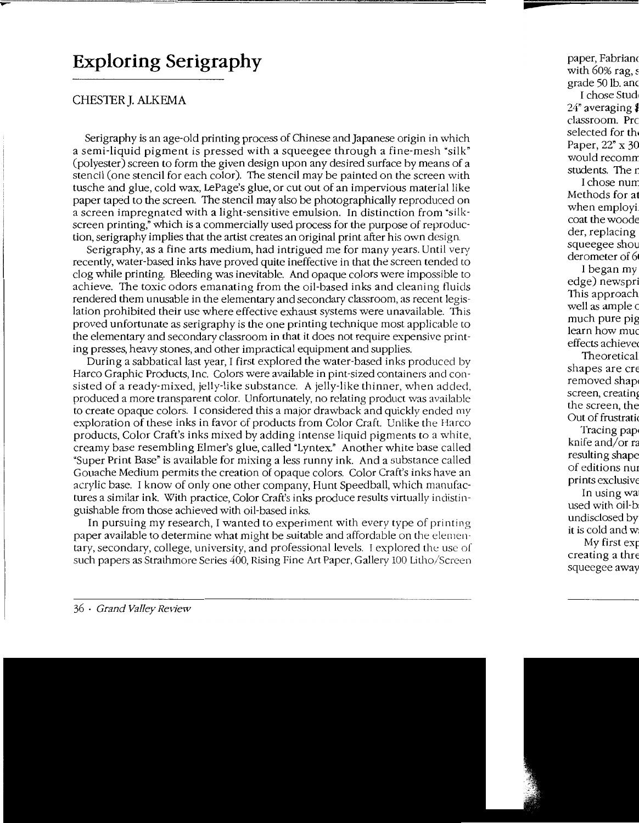# **Exploring Serigraphy**

### CHESTER J. ALKEMA

Serigraphy is an age-old printing process of Chinese and Japanese origin in which a semi-liquid pigment is pressed with a squeegee through a fine-mesh "silk" (polyester) screen to form the given design upon any desired surface by means of a stencil (one stencil for each color). The stencil may be painted on the screen with tusche and glue, cold wax, LePage's glue, or cut out of an impervious material like paper taped to the screen. The stencil may also be photographically reproduced on a screen impregnated with a light-sensitive emulsion. In distinction from "silkscreen printing," which is a commercially used process for the purpose of reproduction, serigraphy implies that the artist creates an original print after his own design.

Serigraphy, as a fine arts medium, had intrigued me for many years. Until very recently, water-based inks have proved quite ineffective in that the screen tended to clog while printing. Bleeding was inevitable. And opaque colors were impossible to achieve. The toxic odors emanating from the oil-based inks and cleaning fluids rendered them unusable in the elementary and secondary classroom, as recent legislation prohibited their use where effective exhaust systems were unavailable. This proved unfortunate as serigraphy is the one printing technique most applicable to the elementary and secondary classroom in that it does not require expensive printing presses, heavy stones, and other impractical equipment and supplies.

During a sabbatical last year, I first explored the water-based inks produced by Harco Graphic Products, Inc. Colors were available in pint-sized containers and consisted of a ready-mixed, jelly-like substance. A jelly-like thinner, when added, produced a more transparent color. Unfortunately, no relating product was available to create opaque colors. I considered this a major drawback and quickly ended my exploration of these inks in favor of products from Color Craft. Unlike the Harco products, Color Craft's inks mixed by adding intense liquid pigments to a white, creamy base resembling Elmer's glue, called "Lyntex." Another white base called "Super Print Base" is available for mixing a less runny ink. And a substance called Gouache Medium permits the creation of opaque colors. Color Craft's inks have an acrylic base. I know of only one other company, Hunt Speedball, which manufactures a similar ink. With practice, Color Craft's inks produce results virtually indistinguishable from those achieved with oil-based inks.

In pursuing my research, I wanted to experiment with every type of printing paper available to determine what might be suitable and affordable on the elementary, secondary, college, university, and professional levels. I explored the use of such papers as Strathmore Series 400, Rising Fine Art Paper, Gallety 100 Litho/Screen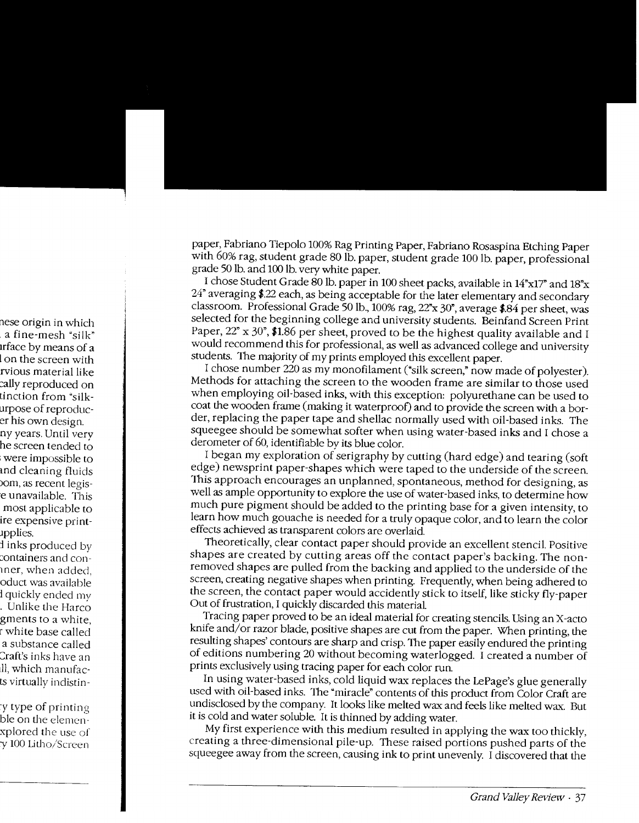paper, Fabriano Tiepolo 100% Rag Printing Paper, Fabriano Rosaspina Etching Paper with 60% rag, student grade 80 lb. paper, student grade 100 lb. paper, professional grade 50 lb. and 100 lb. very white paper.

I chose Student Grade 80 lb. paper in 100 sheet packs, available in 14"x17" and 18"x 24" averaging \$.22 each, as being acceptable for the later elementary and secondary classroom. Professional Grade 50 lb., 100% rag, 22"x 30", average \$.84 per sheet, was selected for the beginning college and university students. Beinfand Screen Print Paper, 22" x 30", \$1.86 per sheet, proved to be the highest quality available and I would recommend this for professional, as well as advanced college and university students. The majority of my prints employed this excellent paper.

I chose number 220 as my monofilament ("silk screen," now made of polyester). Methods for attaching the screen to the wooden frame are similar to those used when employing oil-based inks, with this exception: polyurethane can be used to coat the wooden frame (making it waterproof) and to provide the screen with a border, replacing the paper tape and shellac normally used with oil-based inks. The squeegee should be somewhat softer when using water-based inks and I chose a derometer of 60, identifiable bv its blue color.

I began my exploration of serigraphy by cutting (hard edge) and tearing (soft edge) newsprint paper-shapes which were taped to the underside of the screen. This approach encourages an unplanned, spontaneous, method for designing, as well as ample opportunity to explore the use of water-based inks, to determine how much pure pigment should be added to the printing base for a given intensity, to learn how much gouache is needed for a truly opaque color, and to learn the color effects achieved as transparent colors are overlaid.

Theoretically, clear contact paper should provide an excellent stencil. Positive shapes are created by cutting areas off the contact paper's backing. The nonremoved shapes are pulled from the backing and applied to the underside of the screen, creating negative shapes when printing. Frequently, when being adhered to the screen, the contact paper would accidently stick to itself, like sticky fly-paper Out of frustration, I quickly discarded this material

Tracing paper proved to be an ideal material for creating stencils. Using an X -acto knife and/or razor blade, positive shapes are cut from the paper. When printing, the resulting shapes' contours are sharp and crisp. The paper easily endured the printing of editions numbering 20 without becoming waterlogged. I created a number of prints exclusively using tracing paper for each color run.

In using water-based inks, cold liquid wax replaces the LePage's glue generally used with oil-based inks. The "miracle" contents of this product from Color Craft are undisclosed by the company. It looks like melted wax and feels like melted wax. But it is cold and water soluble. It is thinned by adding water.

My first experience with this medium resulted in applying the wax too thickly, creating a three-dimensional pile-up. These raised portions pushed parts of the squeegee away from the screen, causing ink to print unevenly. I discovered that the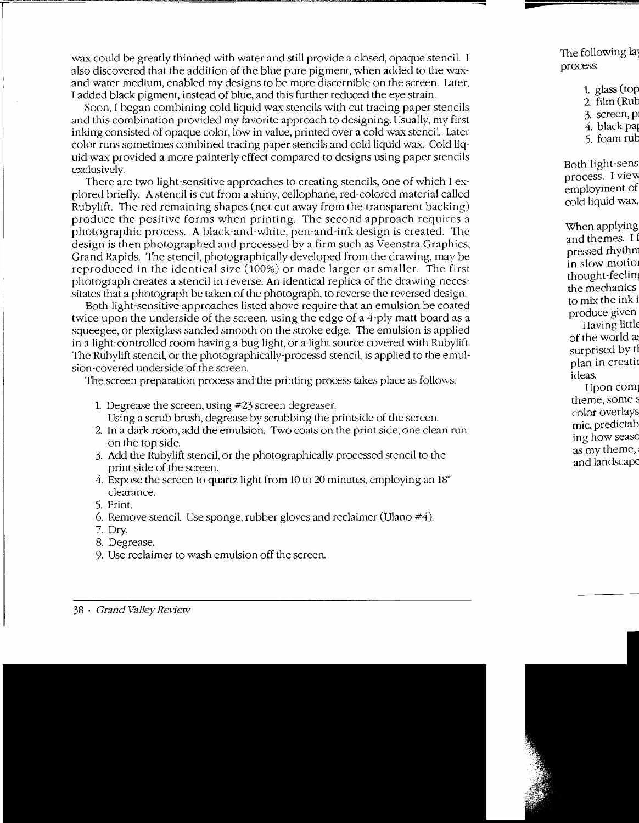wax could be greatly thinned with water and still provide a closed, opaque stencil. I also discovered that the addition of the blue pure pigment, when added to the waxand-water medium, enabled my designs to be more discernible on the screen. Later, I added black pigment, instead of blue, and this further reduced the eye strain.

Soon, I began combining cold liquid wax stencils with cut tracing paper stencils and this combination provided my favorite approach to designing. Usually, my first inking consisted of opaque color, low in value, printed over a cold wax stencil Later color runs sometimes combined tracing paper stencils and cold liquid wa.x. Cold liquid wax provided a more painterly effect compared to designs using paper stencils exclusively.

There are two light-sensitive approaches to creating stencils, one of which I explored briefly. A stencil is cut from a shiny, cellophane, red-colored material called Rubylift. The red remaining shapes (not cut away from the transparent backing) produce the positive forms when printing. The second approach requires a photographic process. A black-and-white, pen-and-ink design is created. The design is then photographed and processed by a firm such as Veenstra Graphics, Grand Rapids. The stencil, photographically developed from the drawing, may be reproduced in the identical size (100%) or made larger or smaller. The first photograph creates a stencil in reverse. An identical replica of the drawing necessitates that a photograph be taken of the photograph, to reverse the reversed design.

Both light-sensitive approaches listed above require that an emulsion be coated twice upon the underside of the screen, using the edge of a 4-ply matt board as a squeegee, or plexiglass sanded smooth on the stroke edge. The emulsion is applied in a light-controlled room having a bug light, or a light source covered with Rubylift. The Rubylift stencil, or the photographically-processd stencil, is applied to the emulsion -covered underside of the screen.

The screen preparation process and the printing process takes place as follows:

- 1. Degrease the screen, using #23 screen degreaser. Using a scrub brush, degrease by scrubbing the printside of the screen.
- 2. In a dark room, add the emulsion. Two coats on the print side, one clean run on the top side.
- 3. Add the Ruby lift stencil, or the photographically processed stencil to the print side of the screen.
- 4. Expose the screen to quartz light from 10 to 20 minutes, employing an 18" clearance.
- 5. Print.
- 6. Remove stencil Use sponge, rubber gloves and reclaimer (Ulano #4).
- 7. Dry.
- 8. Degrease.
- 9. Use reclaimer to wash emulsion off the screen.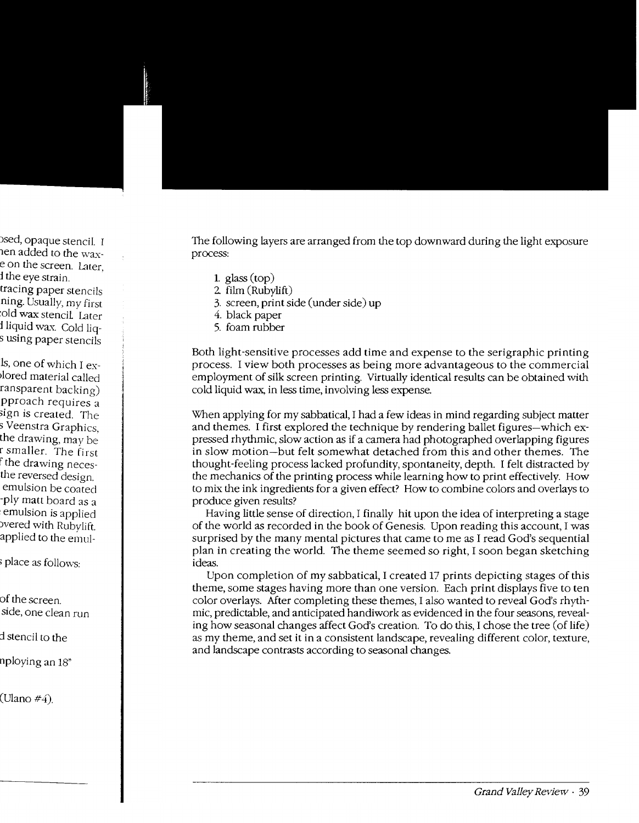The following layers are arranged from the top downward during the light exposure process:

- 1. glass  $(top)$
- 2. film (Rubylift)
- 3. screen, print side (under side) up
- 4. black paper
- 5. foam rubber

Both light-sensitive processes add time and expense to the serigraphic printing process. I view both processes as being more advantageous to the commercial employment of silk screen printing. Virtually identical results can be obtained with cold liquid wax, in less time, involving less expense.

\'Vhen applying for my sabbatical, I had a few ideas in mind regarding subject matter and themes. I first explored the technique by rendering ballet figures-which expressed rhythmic, slow action as if a camera had photographed overlapping figures in slow motion-but felt somewhat detached from this and other themes. The thought-feeling process lacked profundity, spontaneity, depth. I felt distracted by the mechanics of the printing process while learning how to print effectively. How to mix the ink ingredients for a given effect? How to combine colors and overlays to produce given results?

Having little sense of direction, I finally hit upon the idea of interpreting a stage of the world as recorded in the book of Genesis. Upon reading this account, I was surprised by the many mental pictures that came to me as I read God's sequential plan in creating the world. The theme seemed so right, I soon began sketching ideas.

Upon completion of my sabbatical, I created 17 prints depicting stages of this theme, some stages having more than one version. Each print displays five to ten color overlays. After completing these themes, I also wanted to reveal God's rhythmic, predictable, and anticipated handiwork as evidenced in the four seasons, revealing how seasonal changes affect God's creation. To do this, I chose the tree (of life) as my theme, and set it in a consistent landscape, revealing different color, texture, and landscape contrasts according to seasonal changes.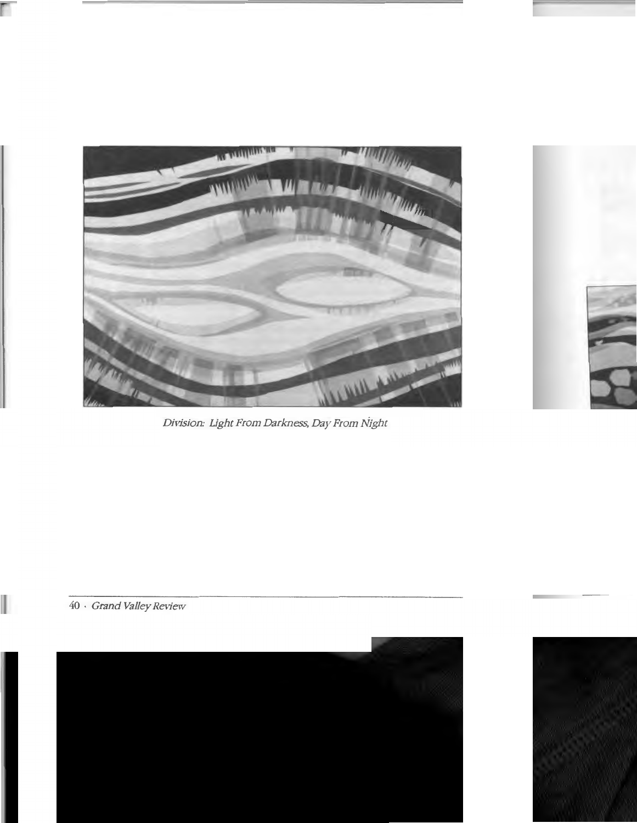

*Division: Light From Darkness, Day From Night*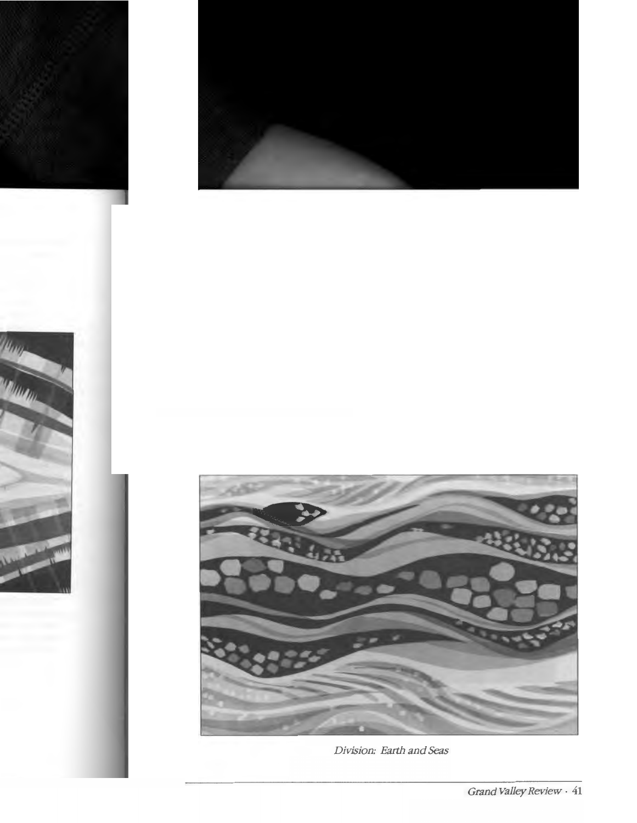

Division: Earth and Seas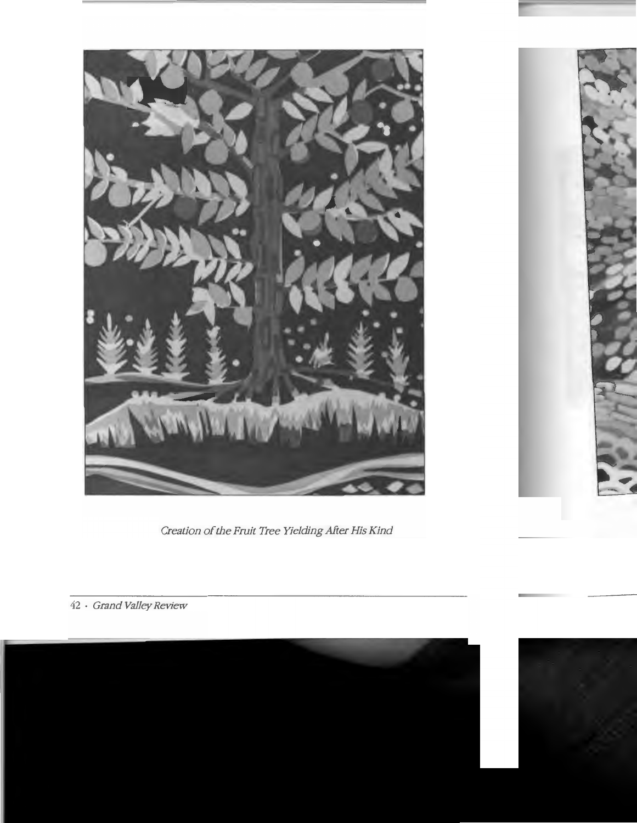

Creation of the Fruit Tree Yielding After His Kind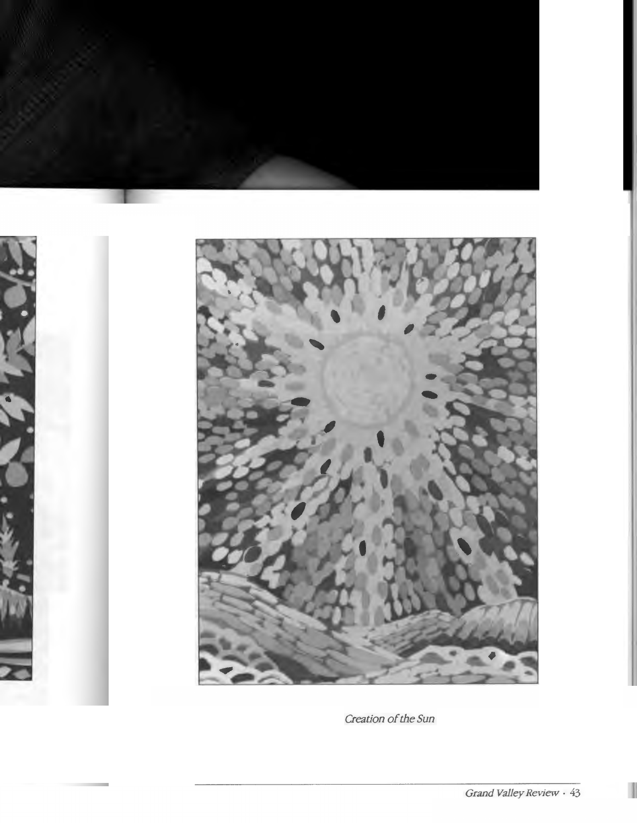

Creation of the Sun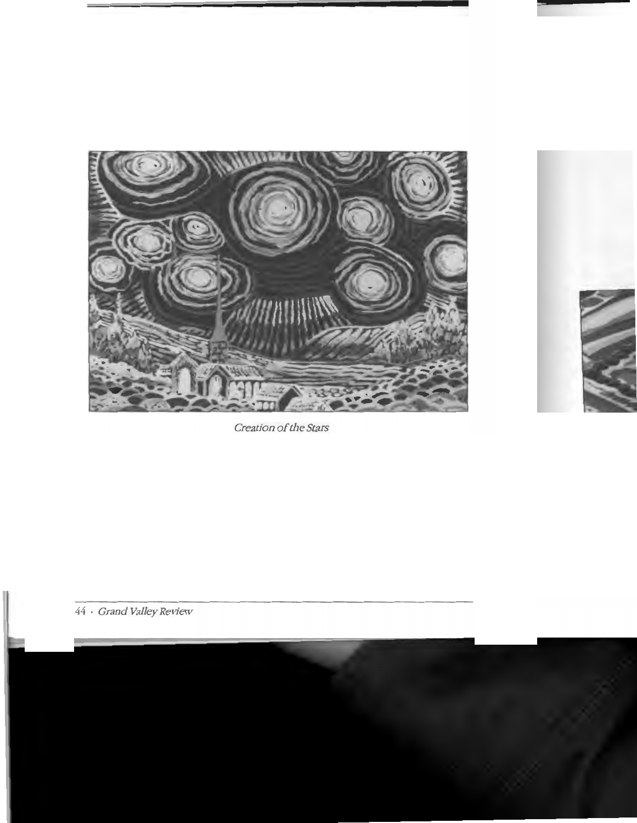

Creation of the Stars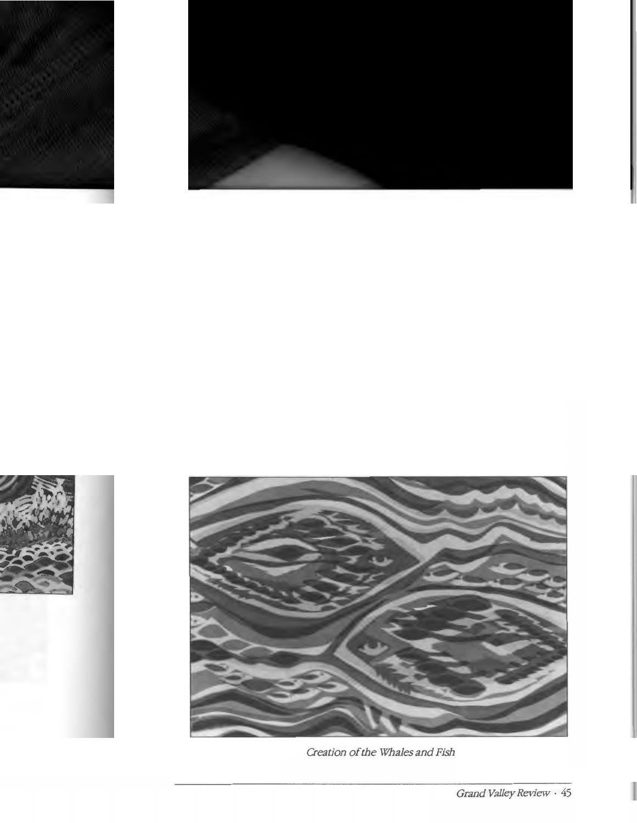

Creation of the Whales and Fish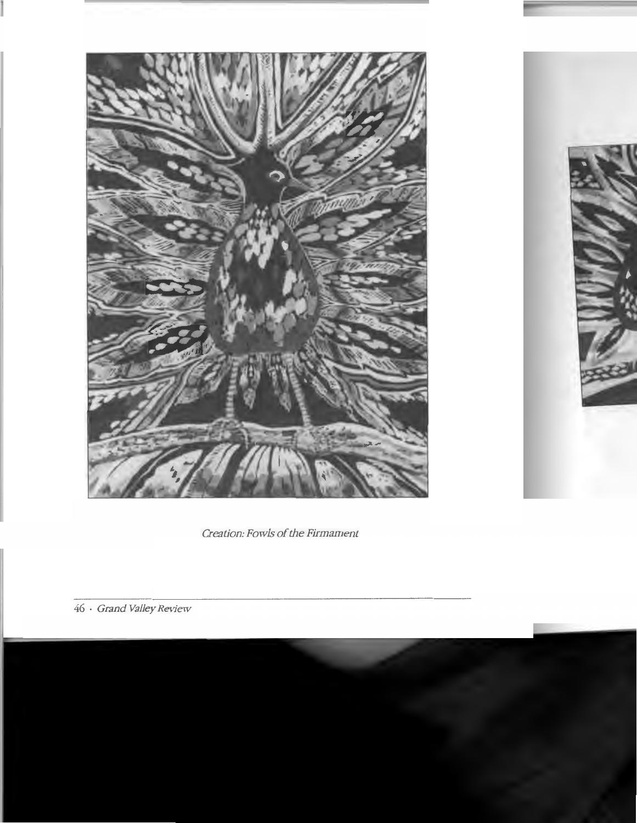

Creation: Fowls of the Firmament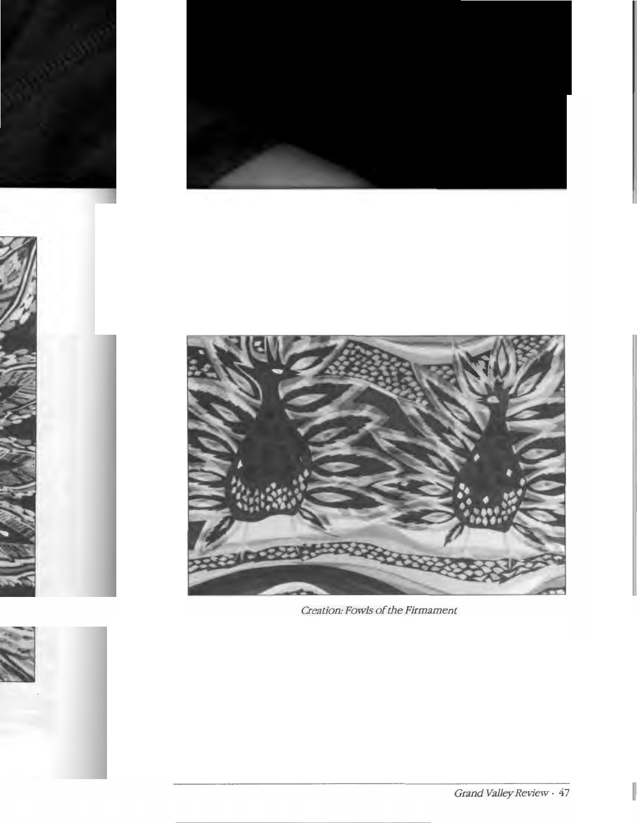

Creation: Fowls of the Firmament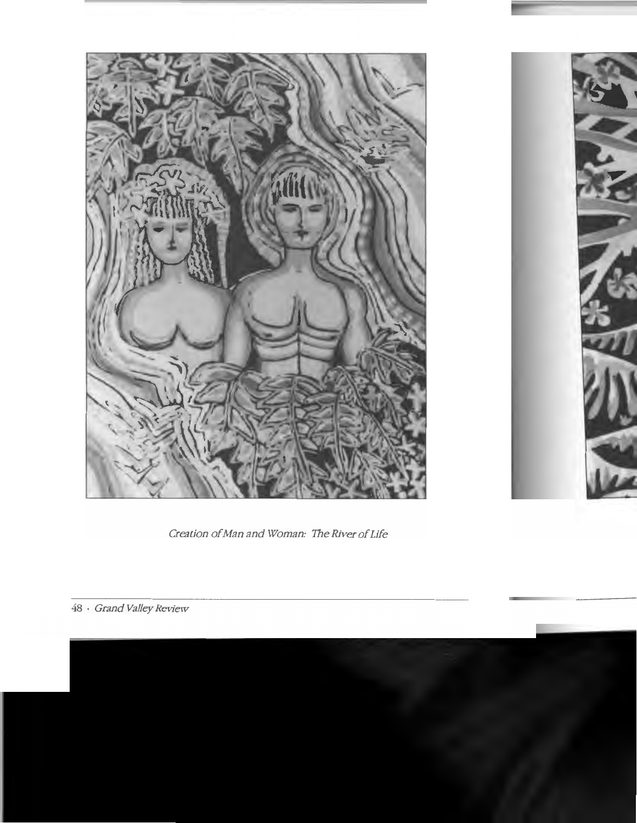

Creation of Man and Woman: The River of Life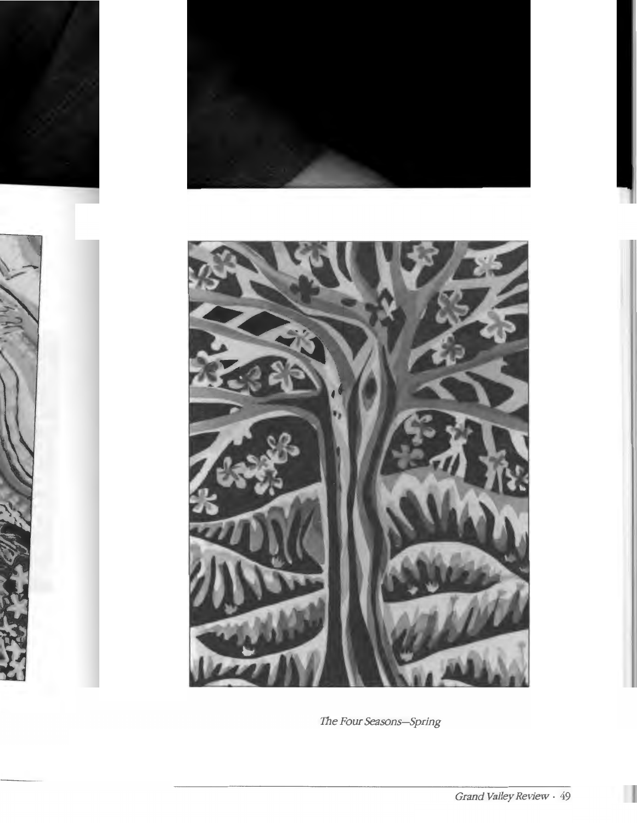

The Four Seasons-Spring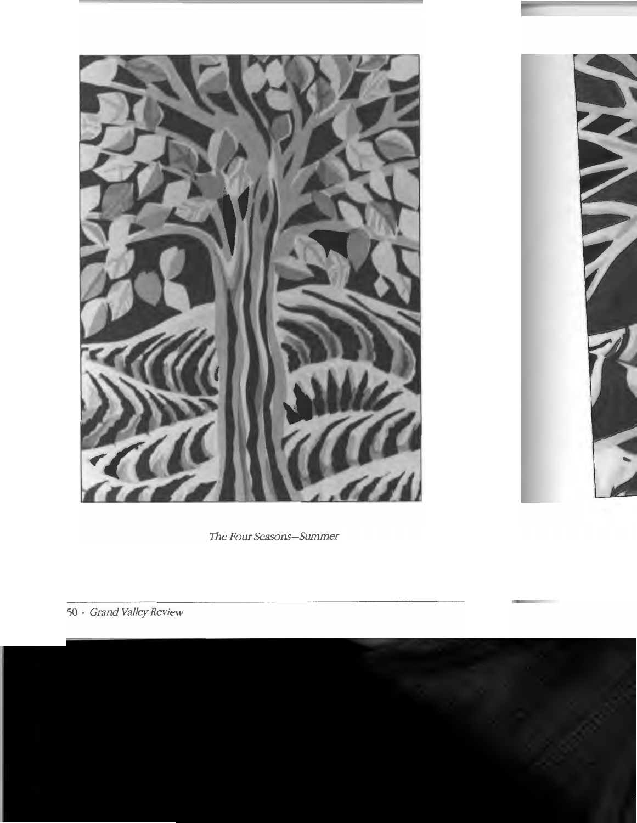

*The Four Seasons-Summer*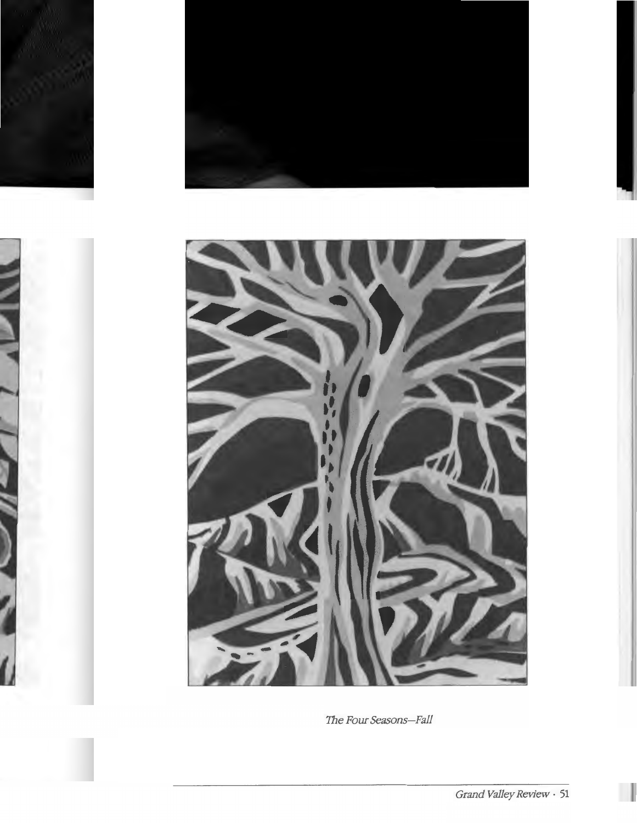![](_page_16_Picture_0.jpeg)

The Four Seasons-Fall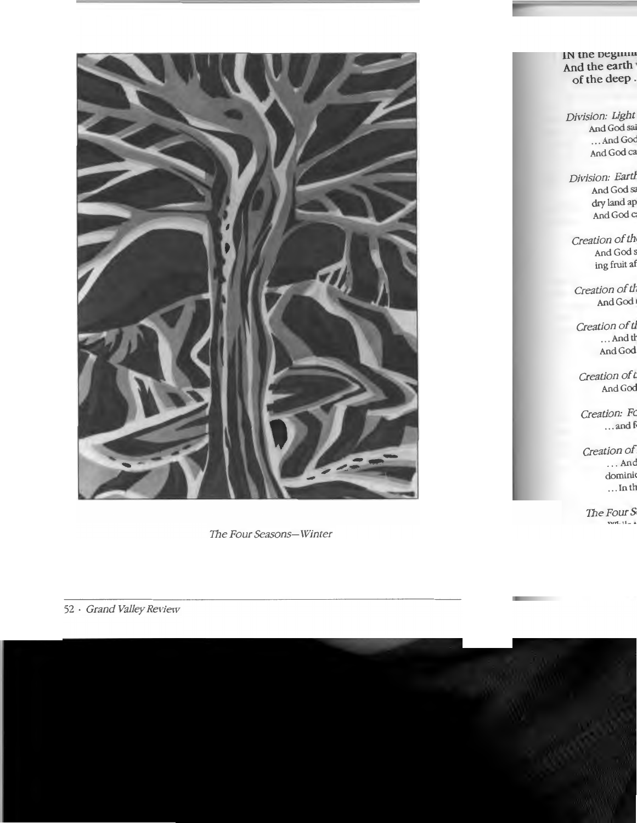![](_page_17_Picture_0.jpeg)

The Four Seasons-Winter